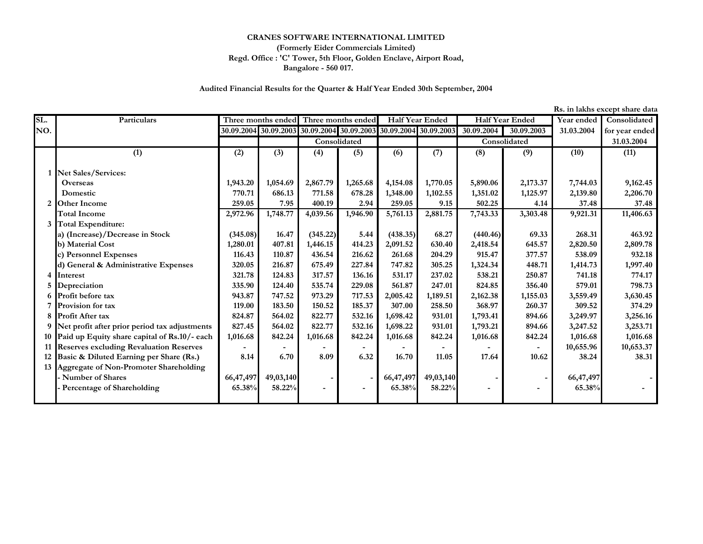## **CRANES SOFTWARE INTERNATIONAL LIMITED**

## **Bangalore - 560 017. (Formerly Eider Commercials Limited) Regd. Office : 'C' Tower, 5th Floor, Golden Enclave, Airport Road,**

## **Audited Financial Results for the Quarter & Half Year Ended 30th September, 2004**

**Rs. in lakhs except share data**

| SL. | Particulars                                     |           |           | Three months ended Three months ended                             |              | <b>Half Year Ended</b> |           | <b>Half Year Ended</b> |              | Year ended | Consolidated   |
|-----|-------------------------------------------------|-----------|-----------|-------------------------------------------------------------------|--------------|------------------------|-----------|------------------------|--------------|------------|----------------|
| NO. |                                                 |           |           | 30.09.2004 30.09.2003 30.09.2004 30.09.2003 30.09.2004 30.09.2003 |              |                        |           | 30.09.2004             | 30.09.2003   | 31.03.2004 | for year ended |
|     |                                                 |           |           |                                                                   | Consolidated |                        |           |                        | Consolidated |            | 31.03.2004     |
|     | (1)                                             | (2)       | (3)       | (4)                                                               | (5)          | (6)                    | (7)       | (8)                    | (9)          | (10)       | (11)           |
|     |                                                 |           |           |                                                                   |              |                        |           |                        |              |            |                |
|     | <b>Net Sales/Services:</b>                      |           |           |                                                                   |              |                        |           |                        |              |            |                |
|     | Overseas                                        | 1,943.20  | 1,054.69  | 2,867.79                                                          | 1,265.68     | 4,154.08               | 1,770.05  | 5,890.06               | 2,173.37     | 7,744.03   | 9,162.45       |
|     | Domestic                                        | 770.71    | 686.13    | 771.58                                                            | 678.28       | 1,348.00               | 1,102.55  | 1,351.02               | 1,125.97     | 2,139.80   | 2,206.70       |
|     | <b>Other Income</b>                             | 259.05    | 7.95      | 400.19                                                            | 2.94         | 259.05                 | 9.15      | 502.25                 | 4.14         | 37.48      | 37.48          |
|     | <b>Total Income</b>                             | 2,972.96  | 1,748.77  | 4,039.56                                                          | 1,946.90     | 5,761.13               | 2,881.75  | 7,743.33               | 3,303.48     | 9,921.31   | 11,406.63      |
|     | <b>Total Expenditure:</b>                       |           |           |                                                                   |              |                        |           |                        |              |            |                |
|     | a) (Increase)/Decrease in Stock                 | (345.08)  | 16.47     | (345.22)                                                          | 5.44         | (438.35)               | 68.27     | (440.46)               | 69.33        | 268.31     | 463.92         |
|     | b) Material Cost                                | 1,280.01  | 407.81    | 1,446.15                                                          | 414.23       | 2,091.52               | 630.40    | 2,418.54               | 645.57       | 2,820.50   | 2,809.78       |
|     | c) Personnel Expenses                           | 116.43    | 110.87    | 436.54                                                            | 216.62       | 261.68                 | 204.29    | 915.47                 | 377.57       | 538.09     | 932.18         |
|     | d) General & Administrative Expenses            | 320.05    | 216.87    | 675.49                                                            | 227.84       | 747.82                 | 305.25    | 1,324.34               | 448.71       | 1,414.73   | 1,997.40       |
|     | Interest                                        | 321.78    | 124.83    | 317.57                                                            | 136.16       | 531.17                 | 237.02    | 538.21                 | 250.87       | 741.18     | 774.17         |
|     | Depreciation                                    | 335.90    | 124.40    | 535.74                                                            | 229.08       | 561.87                 | 247.01    | 824.85                 | 356.40       | 579.01     | 798.73         |
| 6   | Profit before tax                               | 943.87    | 747.52    | 973.29                                                            | 717.53       | 2,005.42               | 1,189.51  | 2,162.38               | 1,155.03     | 3,559.49   | 3,630.45       |
|     | Provision for tax                               | 119.00    | 183.50    | 150.52                                                            | 185.37       | 307.00                 | 258.50    | 368.97                 | 260.37       | 309.52     | 374.29         |
|     | <b>Profit After tax</b>                         | 824.87    | 564.02    | 822.77                                                            | 532.16       | 1,698.42               | 931.01    | 1,793.41               | 894.66       | 3,249.97   | 3,256.16       |
|     | Net profit after prior period tax adjustments   | 827.45    | 564.02    | 822.77                                                            | 532.16       | 1,698.22               | 931.01    | 1,793.21               | 894.66       | 3,247.52   | 3,253.71       |
|     | 10 Paid up Equity share capital of Rs.10/- each | 1,016.68  | 842.24    | 1,016.68                                                          | 842.24       | 1,016.68               | 842.24    | 1,016.68               | 842.24       | 1,016.68   | 1,016.68       |
|     | 11 Reserves excluding Revaluation Reserves      |           |           |                                                                   |              |                        |           |                        |              | 10,655.96  | 10,653.37      |
|     | Basic & Diluted Earning per Share (Rs.)         | 8.14      | 6.70      | 8.09                                                              | 6.32         | 16.70                  | 11.05     | 17.64                  | 10.62        | 38.24      | 38.31          |
|     | <b>Aggregate of Non-Promoter Shareholding</b>   |           |           |                                                                   |              |                        |           |                        |              |            |                |
|     | - Number of Shares                              | 66,47,497 | 49,03,140 |                                                                   |              | 66, 47, 497            | 49,03,140 |                        |              | 66,47,497  |                |
|     | Percentage of Shareholding                      | 65.38%    | 58.22%    |                                                                   |              | 65.38%                 | 58.22%    |                        |              | 65.38%     |                |
|     |                                                 |           |           |                                                                   |              |                        |           |                        |              |            |                |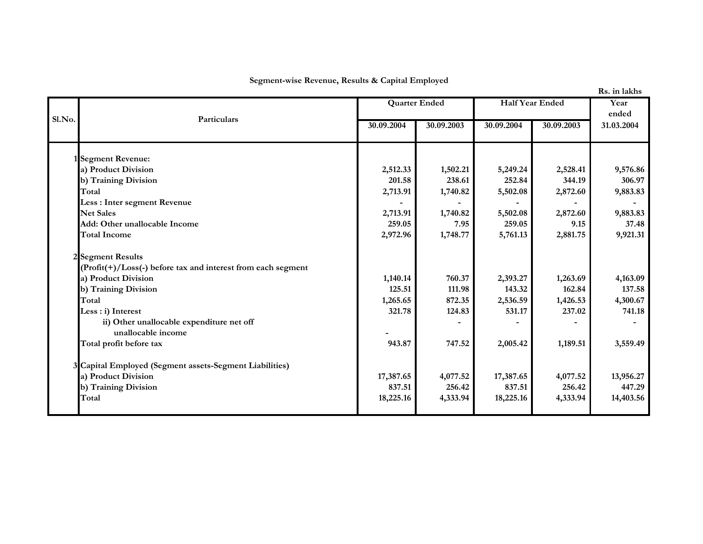**Segment-wise Revenue, Results & Capital Employed**

| Sl.No. |                                                                   |            | <b>Quarter Ended</b> | <b>Half Year Ended</b> |            | Year<br>ended |
|--------|-------------------------------------------------------------------|------------|----------------------|------------------------|------------|---------------|
|        | Particulars                                                       | 30.09.2004 | 30.09.2003           | 30.09.2004             | 30.09.2003 | 31.03.2004    |
|        | 1 Segment Revenue:                                                |            |                      |                        |            |               |
|        | a) Product Division                                               | 2,512.33   | 1,502.21             | 5,249.24               | 2,528.41   | 9,576.86      |
|        | b) Training Division                                              | 201.58     | 238.61               | 252.84                 | 344.19     | 306.97        |
|        | Total                                                             | 2,713.91   | 1,740.82             | 5,502.08               | 2,872.60   | 9,883.83      |
|        | Less : Inter segment Revenue                                      |            |                      |                        |            |               |
|        | <b>Net Sales</b>                                                  | 2,713.91   | 1,740.82             | 5,502.08               | 2,872.60   | 9,883.83      |
|        | Add: Other unallocable Income                                     | 259.05     | 7.95                 | 259.05                 | 9.15       | 37.48         |
|        | <b>Total Income</b>                                               | 2,972.96   | 1,748.77             | 5,761.13               | 2,881.75   | 9,921.31      |
|        | 2 Segment Results                                                 |            |                      |                        |            |               |
|        | $(Profit(+) / Loss(-) before tax and interest from each segment)$ |            |                      |                        |            |               |
|        | a) Product Division                                               | 1,140.14   | 760.37               | 2,393.27               | 1,263.69   | 4,163.09      |
|        | b) Training Division                                              | 125.51     | 111.98               | 143.32                 | 162.84     | 137.58        |
|        | Total                                                             | 1,265.65   | 872.35               | 2,536.59               | 1,426.53   | 4,300.67      |
|        | Less : i) Interest                                                | 321.78     | 124.83               | 531.17                 | 237.02     | 741.18        |
|        | ii) Other unallocable expenditure net off<br>unallocable income   |            |                      |                        |            |               |
|        | Total profit before tax                                           | 943.87     | 747.52               | 2,005.42               | 1,189.51   | 3,559.49      |
|        | 3 Capital Employed (Segment assets-Segment Liabilities)           |            |                      |                        |            |               |
|        | a) Product Division                                               | 17,387.65  | 4,077.52             | 17,387.65              | 4,077.52   | 13,956.27     |
|        | b) Training Division                                              | 837.51     | 256.42               | 837.51                 | 256.42     | 447.29        |
|        | Total                                                             | 18,225.16  | 4,333.94             | 18,225.16              | 4,333.94   | 14,403.56     |
|        |                                                                   |            |                      |                        |            |               |

**Rs. in lakhs**